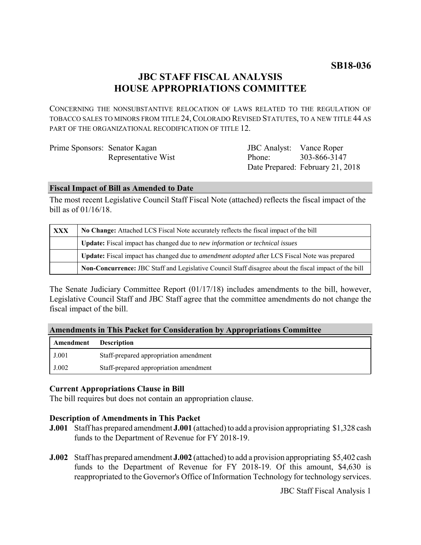# **SB18-036**

# **JBC STAFF FISCAL ANALYSIS HOUSE APPROPRIATIONS COMMITTEE**

CONCERNING THE NONSUBSTANTIVE RELOCATION OF LAWS RELATED TO THE REGULATION OF TOBACCO SALES TO MINORS FROM TITLE 24, COLORADO REVISED STATUTES, TO A NEW TITLE 44 AS PART OF THE ORGANIZATIONAL RECODIFICATION OF TITLE 12.

| Prime Sponsors: Senator Kagan |                     | JBC Analyst: Vance Roper |                                  |
|-------------------------------|---------------------|--------------------------|----------------------------------|
|                               | Representative Wist | Phone:                   | 303-866-3147                     |
|                               |                     |                          | Date Prepared: February 21, 2018 |

#### **Fiscal Impact of Bill as Amended to Date**

The most recent Legislative Council Staff Fiscal Note (attached) reflects the fiscal impact of the bill as of 01/16/18.

| <b>XXX</b> | No Change: Attached LCS Fiscal Note accurately reflects the fiscal impact of the bill                 |  |
|------------|-------------------------------------------------------------------------------------------------------|--|
|            | Update: Fiscal impact has changed due to new information or technical issues                          |  |
|            | Update: Fiscal impact has changed due to <i>amendment adopted</i> after LCS Fiscal Note was prepared  |  |
|            | Non-Concurrence: JBC Staff and Legislative Council Staff disagree about the fiscal impact of the bill |  |

The Senate Judiciary Committee Report (01/17/18) includes amendments to the bill, however, Legislative Council Staff and JBC Staff agree that the committee amendments do not change the fiscal impact of the bill.

|  | <b>Amendments in This Packet for Consideration by Appropriations Committee</b> |  |  |  |  |  |  |  |
|--|--------------------------------------------------------------------------------|--|--|--|--|--|--|--|
|--|--------------------------------------------------------------------------------|--|--|--|--|--|--|--|

| Amendment | <b>Description</b>                     |
|-----------|----------------------------------------|
| J.001     | Staff-prepared appropriation amendment |
| J.002     | Staff-prepared appropriation amendment |

### **Current Appropriations Clause in Bill**

The bill requires but does not contain an appropriation clause.

#### **Description of Amendments in This Packet**

- **J.001** Staff has prepared amendment **J.001** (attached) to add a provision appropriating \$1,328 cash funds to the Department of Revenue for FY 2018-19.
- **J.002** Staff has prepared amendment **J.002** (attached) to add a provision appropriating \$5,402 cash funds to the Department of Revenue for FY 2018-19. Of this amount, \$4,630 is reappropriated to the Governor's Office of Information Technology for technology services.